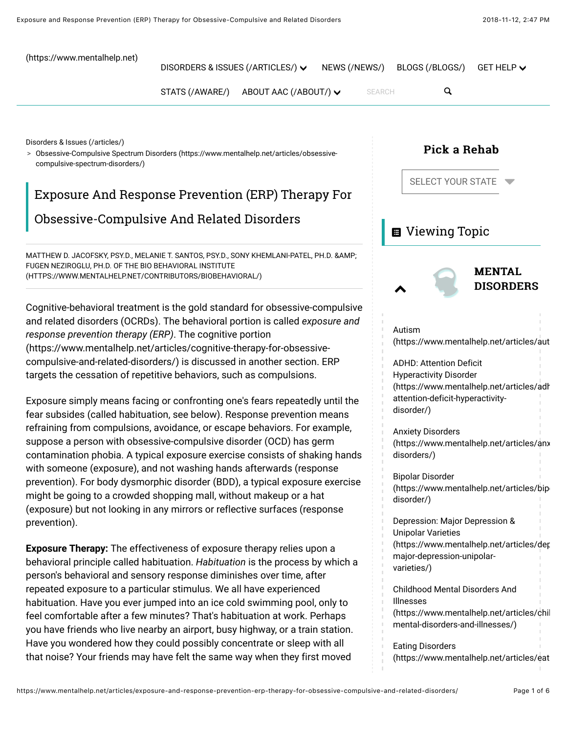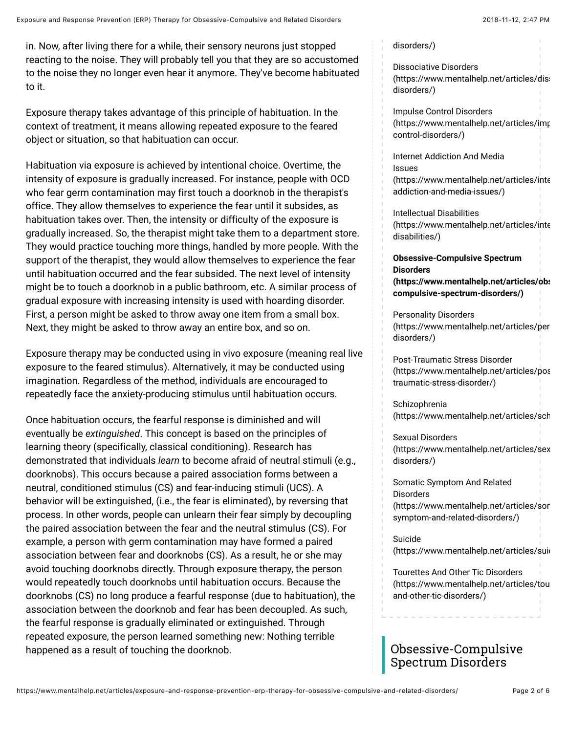in. Now, after living there for a while, their sensory neurons just stopped reacting to the noise. They will probably tell you that they are so accustomed to the noise they no longer even hear it anymore. They've become habituated to it.

Exposure therapy takes advantage of this principle of habituation. In the context of treatment, it means allowing repeated exposure to the feared object or situation, so that habituation can occur.

Habituation via exposure is achieved by intentional choice. Overtime, the intensity of exposure is gradually increased. For instance, people with OCD who fear germ contamination may first touch a doorknob in the therapist's office. They allow themselves to experience the fear until it subsides, as habituation takes over. Then, the intensity or difficulty of the exposure is gradually increased. So, the therapist might take them to a department store. They would practice touching more things, handled by more people. With the support of the therapist, they would allow themselves to experience the fear until habituation occurred and the fear subsided. The next level of intensity might be to touch a doorknob in a public bathroom, etc. A similar process of gradual exposure with increasing intensity is used with hoarding disorder. First, a person might be asked to throw away one item from a small box. Next, they might be asked to throw away an entire box, and so on.

Exposure therapy may be conducted using in vivo exposure (meaning real live exposure to the feared stimulus). Alternatively, it may be conducted using imagination. Regardless of the method, individuals are encouraged to repeatedly face the anxiety-producing stimulus until habituation occurs.

Once habituation occurs, the fearful response is diminished and will eventually be *extinguished*. This concept is based on the principles of learning theory (specifically, classical conditioning). Research has demonstrated that individuals *learn* to become afraid of neutral stimuli (e.g., doorknobs). This occurs because a paired association forms between a neutral, conditioned stimulus (CS) and fear-inducing stimuli (UCS). A behavior will be extinguished, (i.e., the fear is eliminated), by reversing that process. In other words, people can unlearn their fear simply by decoupling the paired association between the fear and the neutral stimulus (CS). For example, a person with germ contamination may have formed a paired association between fear and doorknobs (CS). As a result, he or she may avoid touching doorknobs directly. Through exposure therapy, the person would repeatedly touch doorknobs until habituation occurs. Because the doorknobs (CS) no long produce a fearful response (due to habituation), the association between the doorknob and fear has been decoupled. As such, the fearful response is gradually eliminated or extinguished. Through repeated exposure, the person learned something new: Nothing terrible happened as a result of touching the doorknob.

#### [disorders/\)](https://www.mentalhelp.net/articles/eating-disorders/)

Dissociative Disorders (https://www.mentalhelp.net/articles/dis: disorders/)

Impulse Control Disorders [\(https://www.mentalhelp.net/articles/imp](https://www.mentalhelp.net/articles/impulse-control-disorders/)ulsecontrol-disorders/)

Internet Addiction And Media Issues  $(https://www.mentalhelp.net/articles/inte$ addiction-and-media-issues/)

Intellectual Disabilities  $(https://www.mentalhelp.net/articles/inte$ disabilities/)

**Obsessive-Compulsive Spectrum Disorders [\(https://www.mentalhelp.net/articles/obs](https://www.mentalhelp.net/articles/obsessive-compulsive-spectrum-disorders/)essivecompulsive-spectrum-disorders/)**

Personality Disorders (https://www.mentalhelp.net/articles/per disorders/)

Post-Traumatic Stress Disorder [\(https://www.mentalhelp.net/articles/pos](https://www.mentalhelp.net/articles/post-traumatic-stress-disorder/)ttraumatic-stress-disorder/)

Schizophrenia [\(https://www.mentalhelp.net/articles/sch](https://www.mentalhelp.net/articles/schizophrenia/)

Sexual Disorders [\(https://www.mentalhelp.net/articles/sex](https://www.mentalhelp.net/articles/sexual-disorders/) disorders/)

Somatic Symptom And Related **Disorders** (https://www.mentalhelp.net/articles/sor symptom-and-related-disorders/)

Suicide (https://www.mentalhelp.net/articles/suid

Tourettes And Other Tic Disorders (https://www.mentalhelp.net/articles/tou and-other-tic-disorders/)

# Obsessive-Compulsive Spectrum Disorders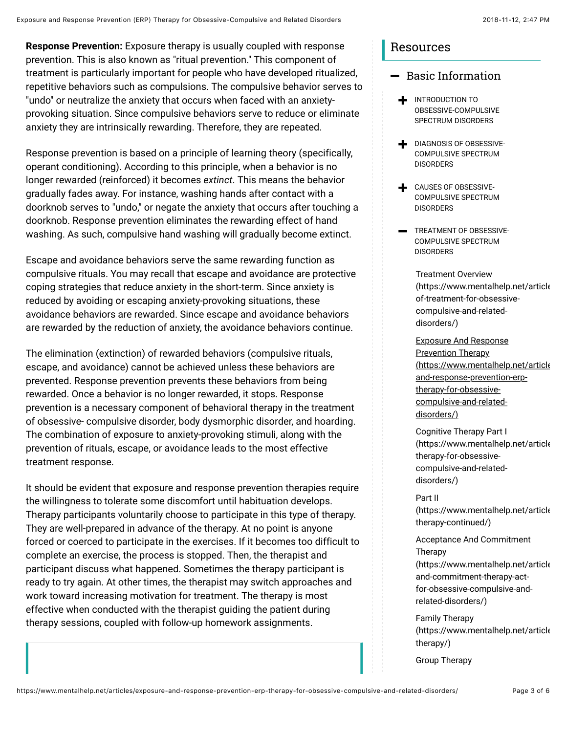**Response Prevention:** Exposure therapy is usually coupled with response prevention. This is also known as "ritual prevention." This component of treatment is particularly important for people who have developed ritualized, repetitive behaviors such as compulsions. The compulsive behavior serves to "undo" or neutralize the anxiety that occurs when faced with an anxietyprovoking situation. Since compulsive behaviors serve to reduce or eliminate anxiety they are intrinsically rewarding. Therefore, they are repeated.

Response prevention is based on a principle of learning theory (specifically, operant conditioning). According to this principle, when a behavior is no longer rewarded (reinforced) it becomes *extinct*. This means the behavior gradually fades away. For instance, washing hands after contact with a doorknob serves to "undo," or negate the anxiety that occurs after touching a doorknob. Response prevention eliminates the rewarding effect of hand washing. As such, compulsive hand washing will gradually become extinct.

Escape and avoidance behaviors serve the same rewarding function as compulsive rituals. You may recall that escape and avoidance are protective coping strategies that reduce anxiety in the short-term. Since anxiety is reduced by avoiding or escaping anxiety-provoking situations, these avoidance behaviors are rewarded. Since escape and avoidance behaviors are rewarded by the reduction of anxiety, the avoidance behaviors continue.

The elimination (extinction) of rewarded behaviors (compulsive rituals, escape, and avoidance) cannot be achieved unless these behaviors are prevented. Response prevention prevents these behaviors from being rewarded. Once a behavior is no longer rewarded, it stops. Response prevention is a necessary component of behavioral therapy in the treatment of obsessive- compulsive disorder, body dysmorphic disorder, and hoarding. The combination of exposure to anxiety-provoking stimuli, along with the prevention of rituals, escape, or avoidance leads to the most effective treatment response.

It should be evident that exposure and response prevention therapies require the willingness to tolerate some discomfort until habituation develops. Therapy participants voluntarily choose to participate in this type of therapy. They are well-prepared in advance of the therapy. At no point is anyone forced or coerced to participate in the exercises. If it becomes too difficult to complete an exercise, the process is stopped. Then, the therapist and participant discuss what happened. Sometimes the therapy participant is ready to try again. At other times, the therapist may switch approaches and work toward increasing motivation for treatment. The therapy is most effective when conducted with the therapist guiding the patient during therapy sessions, coupled with follow-up homework assignments.

### Resources

### $-$  Basic Information

- $\blacklozenge$  introduction to OBSESSIVE-COMPULSIVE SPECTRUM DISORDERS
- $\blacktriangleright$  DIAGNOSIS OF OBSESSIVE-COMPULSIVE SPECTRUM **DISORDERS**
- $\blacklozenge$  CAUSES OF OBSESSIVE-COMPULSIVE SPECTRUM DISORDERS
- $\longrightarrow$  TREATMENT OF OBSESSIVE-COMPULSIVE SPECTRUM **DISORDERS**

Treatment Overview  $(htts://www.mentalhelp.net/article$ of-treatment-for-obsessivecompulsive-and-relateddisorders/)

Exposure And Response Prevention Therapy [\(https://www.mentalhelp.net/article](https://www.mentalhelp.net/articles/exposure-and-response-prevention-erp-therapy-for-obsessive-compulsive-and-related-disorders/)s and-response-prevention-erptherapy-for-obsessivecompulsive-and-relateddisorders/)

Cognitive Therapy Part I  $(htts://www.mentalhelp.net/article$ therapy-for-obsessivecompulsive-and-relateddisorders/)

#### Part II

 $(htts://www.mentalhelp.net/article$ therapy-continued/)

Acceptance And Commitment Therapy  $(https://www.mentalhelp.net/article$ and-commitment-therapy-actfor-obsessive-compulsive-andrelated-disorders/)

Family Therapy  $(https://www.mentalhelp.net/article$ therapy/)

[Group Therapy](https://www.mentalhelp.net/articles/group-therapy-for-obsessive-compulsive-and-related-disorders/)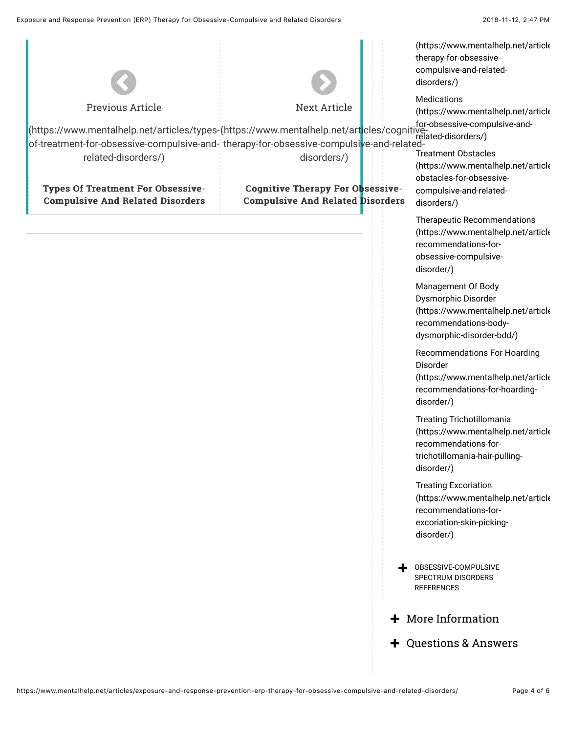|                                                                                            |                                         | (https://www.mentalhelp.net/article<br>therapy-for-obsessive-<br>compulsive-and-related-<br>disorders/)                                         |
|--------------------------------------------------------------------------------------------|-----------------------------------------|-------------------------------------------------------------------------------------------------------------------------------------------------|
|                                                                                            |                                         | Medications                                                                                                                                     |
| Previous Article                                                                           | <b>Next Article</b>                     | (https://www.mentalhelp.net/article<br>for-obsessive-compulsive-and-                                                                            |
| <br> /https://www.mentalhelp.net/art <mark>i</mark> cles/cognitive <br> /elated-disorders/ |                                         |                                                                                                                                                 |
| of-treatment-for-obsessive-compulsive-and- therapy-for-obsessive-compulsive-and-related-   |                                         | <b>Treatment Obstacles</b>                                                                                                                      |
| related-disorders/)                                                                        | disorders/)                             | (https://www.mentalhelp.net/article<br>obstacles-for-obsessive-                                                                                 |
| <b>Types Of Treatment For Obsessive-</b>                                                   | <b>Cognitive Therapy For Obsessive-</b> | compulsive-and-related-                                                                                                                         |
| <b>Compulsive And Related Disorders</b>                                                    | <b>Compulsive And Related Disorders</b> | disorders/)                                                                                                                                     |
|                                                                                            |                                         | Therapeutic Recommendations<br>(https://www.mentalhelp.net/article<br>recommendations-for-<br>obsessive-compulsive-<br>disorder/)               |
|                                                                                            |                                         | Management Of Body<br>Dysmorphic Disorder<br>(https://www.mentalhelp.net/article<br>recommendations-body-<br>dysmorphic-disorder-bdd/)          |
|                                                                                            |                                         | Recommendations For Hoarding<br>Disorder<br>(https://www.mentalhelp.net/article<br>recommendations-for-hoarding-<br>disorder/)                  |
|                                                                                            |                                         | <b>Treating Trichotillomania</b><br>(https://www.mentalhelp.net/article<br>recommendations-for-<br>trichotillomania-hair-pulling-<br>disorder/) |
|                                                                                            |                                         | <b>Treating Excoriation</b><br>(https://www.mentalhelp.net/article<br>recommendations-for-<br>excoriation-skin-picking-<br>disorder/)           |
|                                                                                            |                                         | OBSESSIVE-COMPULSIVE<br>SPECTRUM DISORDERS<br><b>REFERENCES</b>                                                                                 |
|                                                                                            |                                         | $+$ More Information                                                                                                                            |
|                                                                                            |                                         |                                                                                                                                                 |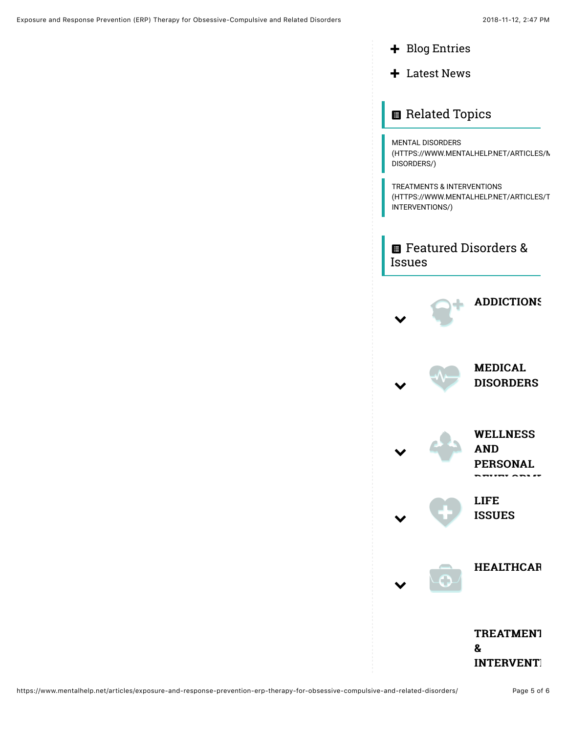- + Blog Entries
- $+$  Latest News

# **B** Related Topics

MENTAL DISORDERS (HTTPS://WWW.MENTALHELP.NET/ARTICLES/N DISORDERS/)

TREATMENTS & INTERVENTIONS [\(HTTPS://WWW.MENTALHELP.NET/ARTICLES/T](https://www.mentalhelp.net/articles/treatments-interventions/) INTERVENTIONS/)

**E** Featured Disorders & Issues